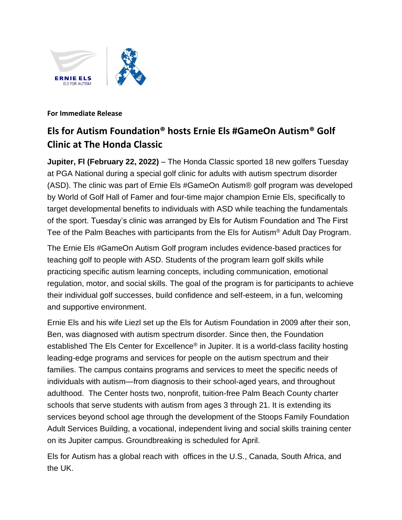

**For Immediate Release**

## **Els for Autism Foundation® hosts Ernie Els #GameOn Autism® Golf Clinic at The Honda Classic**

**Jupiter, Fl (February 22, 2022)** – The Honda Classic sported 18 new golfers Tuesday at PGA National during a special golf clinic for adults with autism spectrum disorder (ASD). The clinic was part of Ernie Els #GameOn Autism® golf program was developed by World of Golf Hall of Famer and four-time major champion Ernie Els, specifically to target developmental benefits to individuals with ASD while teaching the fundamentals of the sport. Tuesday's clinic was arranged by Els for Autism Foundation and The First Tee of the Palm Beaches with participants from the Els for Autism® Adult Day Program.

The Ernie Els #GameOn Autism Golf program includes evidence-based practices for teaching golf to people with ASD. Students of the program learn golf skills while practicing specific autism learning concepts, including communication, emotional regulation, motor, and social skills. The goal of the program is for participants to achieve their individual golf successes, build confidence and self-esteem, in a fun, welcoming and supportive environment.

Ernie Els and his wife Liezl set up the Els for Autism Foundation in 2009 after their son, Ben, was diagnosed with autism spectrum disorder. Since then, the Foundation established The Els Center for Excellence® in Jupiter. It is a world-class facility hosting leading-edge programs and services for people on the autism spectrum and their families. The campus contains programs and services to meet the specific needs of individuals with autism—from diagnosis to their school-aged years, and throughout adulthood. The Center hosts two, nonprofit, tuition-free Palm Beach County charter schools that serve students with autism from ages 3 through 21. It is extending its services beyond school age through the development of the Stoops Family Foundation Adult Services Building, a vocational, independent living and social skills training center on its Jupiter campus. Groundbreaking is scheduled for April.

Els for Autism has a global reach with offices in the U.S., Canada, South Africa, and the UK.